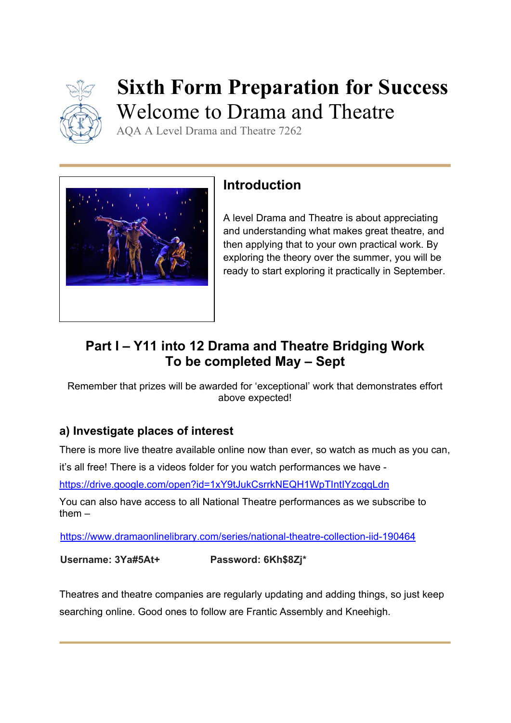

# **Sixth Form Preparation for Success**  Welcome to Drama and Theatre

AQA A Level Drama and Theatre 7262



## **Introduction**

A level Drama and Theatre is about appreciating and understanding what makes great theatre, and then applying that to your own practical work. By exploring the theory over the summer, you will be ready to start exploring it practically in September.

## **Part I – Y11 into 12 Drama and Theatre Bridging Work To be completed May – Sept**

Remember that prizes will be awarded for 'exceptional' work that demonstrates effort above expected!

### **a) Investigate places of interest**

There is more live theatre available online now than ever, so watch as much as you can,

it's all free! There is a videos folder for you watch performances we have -

https://drive.google.com/open?id=1xY9tJukCsrrkNEQH1WpTIntIYzcgqLdn

You can also have access to all National Theatre performances as we subscribe to them –

https://www.dramaonlinelibrary.com/series/national-theatre-collection-iid-190464

**Username: 3Ya#5At+ Password: 6Kh\$8Zj\*** 

Theatres and theatre companies are regularly updating and adding things, so just keep searching online. Good ones to follow are Frantic Assembly and Kneehigh.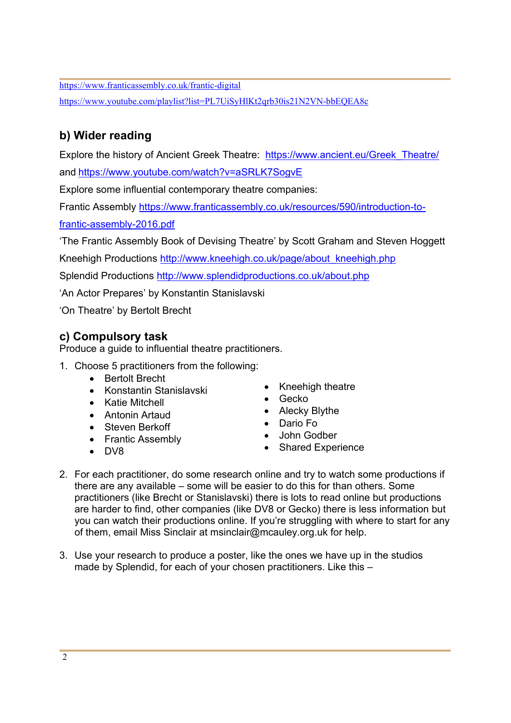https://www.franticassembly.co.uk/frantic-digital https://www.youtube.com/playlist?list=PL7UiSyHlKt2qrb30is21N2VN-bbEQEA8c

### **b) Wider reading**

Explore the history of Ancient Greek Theatre: https://www.ancient.eu/Greek\_Theatre/ and https://www.youtube.com/watch?v=aSRLK7SogvE

Explore some influential contemporary theatre companies:

Frantic Assembly https://www.franticassembly.co.uk/resources/590/introduction-to-

frantic-assembly-2016.pdf

'The Frantic Assembly Book of Devising Theatre' by Scott Graham and Steven Hoggett

Kneehigh Productions http://www.kneehigh.co.uk/page/about\_kneehigh.php

Splendid Productions http://www.splendidproductions.co.uk/about.php

'An Actor Prepares' by Konstantin Stanislavski

'On Theatre' by Bertolt Brecht

#### **c) Compulsory task**

Produce a guide to influential theatre practitioners.

- 1. Choose 5 practitioners from the following:
	- Bertolt Brecht
	- Konstantin Stanislavski
	- Katie Mitchell
	- Antonin Artaud
	- Steven Berkoff
	- Frantic Assembly
	- $\bullet$  DV8
- Kneehigh theatre
- Gecko
- Alecky Blythe
- Dario Fo
- John Godber
- Shared Experience
- 2. For each practitioner, do some research online and try to watch some productions if there are any available – some will be easier to do this for than others. Some practitioners (like Brecht or Stanislavski) there is lots to read online but productions are harder to find, other companies (like DV8 or Gecko) there is less information but you can watch their productions online. If you're struggling with where to start for any of them, email Miss Sinclair at msinclair@mcauley.org.uk for help.
- 3. Use your research to produce a poster, like the ones we have up in the studios made by Splendid, for each of your chosen practitioners. Like this –